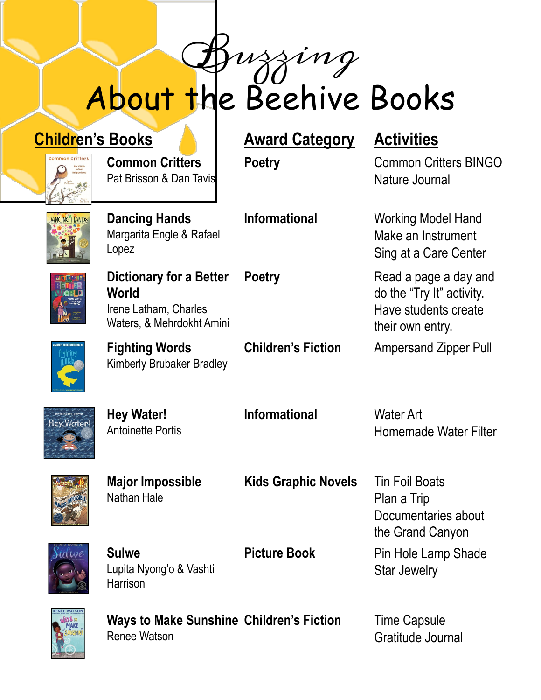# About the Beehive Books

## **Children's Books Award Category Activities**

**Common Critters** Pat Brisson & Dan Tavis

## **DANCING HANDS**

**Dancing Hands** Margarita Engle & Rafael Lopez

**Dictionary for a Better** 

Kimberly Brubaker Bradley

**World** Irene Latham, Charles Waters, & Mehrdokht Amini

**Fighting Words**

**Poetry** Common Critters BINGO Nature Journal

**Informational** Working Model Hand Make an Instrument Sing at a Care Center

**Poetry** Read a page a day and do the "Try It" activity. Have students create their own entry.

**Children's Fiction** Ampersand Zipper Pull



**Hey Water!** Antoinette Portis **Informational** Water Art

Homemade Water Filter



**Major Impossible** Nathan Hale

**Kids Graphic Novels** Tin Foil Boats

Plan a Trip Documentaries about the Grand Canyon **Picture Book** Pin Hole Lamp Shade Star Jewelry



**Sulwe** Lupita Nyong'o & Vashti **Harrison** 

Renee Watson

Ways to Make Sunshine Children's Fiction Time Capsule

Gratitude Journal